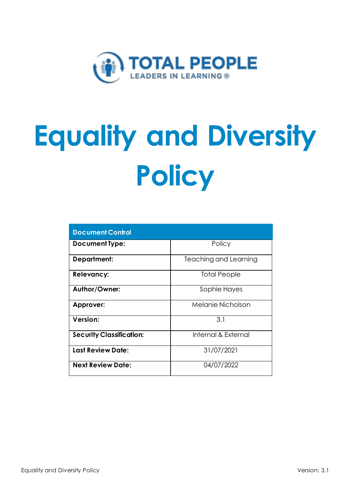

# **Equality and Diversity Policy**

| <b>Document Control</b>         |                       |
|---------------------------------|-----------------------|
| <b>Document Type:</b>           | Policy                |
| Department:                     | Teaching and Learning |
| <b>Relevancy:</b>               | <b>Total People</b>   |
| Author/Owner:                   | Sophie Hayes          |
| Approver:                       | Melanie Nicholson     |
| Version:                        | 3.1                   |
| <b>Security Classification:</b> | Internal & External   |
| <b>Last Review Date:</b>        | 31/07/2021            |
| <b>Next Review Date:</b>        | 04/07/2022            |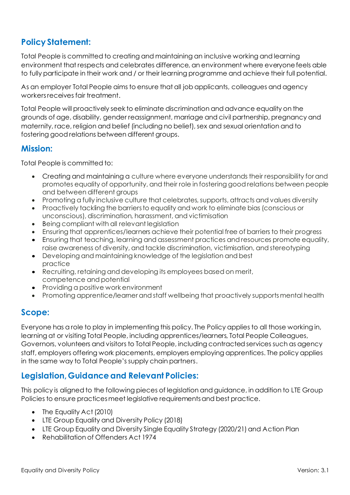# **Policy Statement:**

Total People is committed to creating and maintaining an inclusive working and learning environment that respects and celebrates difference, an environment where everyone feels able to fully participate in their work and / or their learning programme and achieve their full potential.

As an employer Total People aims to ensure that all job applicants, colleagues and agency workers receives fair treatment.

Total People will proactively seek to eliminate discrimination and advance equality on the grounds of age, disability, gender reassignment, marriage and civil partnership, pregnancy and maternity, race, religion and belief (including no belief), sex and sexual orientation and to fostering good relations between different groups.

## **Mission:**

Total People is committed to:

- Creating and maintaining a culture where everyone understands their responsibility for and promotes equality of opportunity, and their role in fostering good relations between people and between different groups
- Promoting a fully inclusive culture that celebrates, supports, attracts and values diversity
- Proactively tackling the barriers to equality and work to eliminate bias (conscious or unconscious), discrimination, harassment, and victimisation
- Being compliant with all relevant legislation
- Ensuring that apprentices/learners achieve their potential free of barriers to their progress
- Ensuring that teaching, learning and assessment practices and resources promote equality, raise awareness of diversity, and tackle discrimination, victimisation, and stereotyping
- Developing and maintaining knowledge of the legislation and best practice
- Recruiting, retaining and developing its employees based on merit, competence and potential
- Providing a positive work environment
- Promoting apprentice/learner and staff wellbeing that proactively supports mental health

## **Scope:**

Everyone has a role to play in implementing this policy. The Policy applies to all those working in, learning at or visiting Total People, including apprentices/learners, Total People Colleagues, Governors, volunteers and visitors to Total People, including contracted services such as agency staff, employers offering work placements, employers employing apprentices. The policy applies in the same way to Total People's supply chain partners.

## **Legislation, Guidanceand Relevant Policies:**

This policy is aligned to the following pieces of legislation and guidance, in addition to LTE Group Policies to ensure practices meet legislative requirements and best practice.

- The Equality Act (2010)
- LTE Group Equality and Diversity Policy (2018)
- LTE Group Equality and Diversity Single Equality Strategy (2020/21) and Action Plan
- Rehabilitation of Offenders Act 1974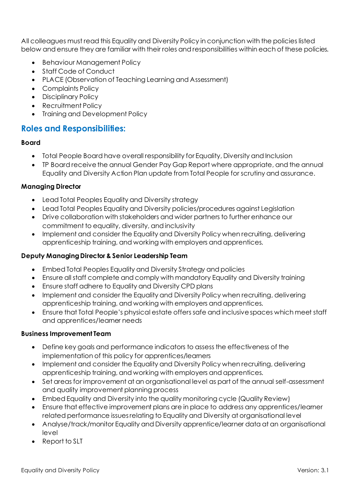All colleagues must read this Equality and Diversity Policy in conjunction with the policies listed below and ensure they are familiar with their roles and responsibilities within each of these policies.

- Behaviour Management Policy
- Staff Code of Conduct
- PLACE (Observation of Teaching Learning and Assessment)
- Complaints Policy
- Disciplinary Policy
- Recruitment Policy
- Training and Development Policy

## **Roles and Responsibilities:**

#### **Board**

- Total People Board have overall responsibility for Equality, Diversity and Inclusion
- TP Board receive the annual Gender Pay Gap Report where appropriate, and the annual Equality and Diversity Action Plan update from Total People for scrutiny and assurance.

#### **Managing Director**

- Lead Total Peoples Equality and Diversity strategy
- Lead Total Peoples Equality and Diversity policies/procedures against Legislation
- Drive collaboration with stakeholders and wider partners to further enhance our commitment to equality, diversity, and inclusivity
- Implement and consider the Equality and Diversity Policy when recruiting, delivering apprenticeship training, and working with employers and apprentices.

#### **Deputy Managing Director & Senior Leadership Team**

- Embed Total Peoples Equality and Diversity Strategy and policies
- Ensure all staff complete and comply with mandatory Equality and Diversity training
- Ensure staff adhere to Equality and Diversity CPD plans
- Implement and consider the Equality and Diversity Policy when recruiting, delivering apprenticeship training, and working with employers and apprentices.
- Ensure that Total People's physical estate offers safe and inclusive spaces which meet staff and apprentices/learner needs

#### **Business Improvement Team**

- Define key goals and performance indicators to assess the effectiveness of the implementation of this policy for apprentices/learners
- Implement and consider the Equality and Diversity Policy when recruiting, delivering apprenticeship training, and working with employers and apprentices.
- Set areas for improvement at an organisational level as part of the annual self-assessment and quality improvement planning process
- Embed Equality and Diversity into the quality monitoring cycle (Quality Review)
- Ensure that effective improvement plans are in place to address any apprentices/learner related performance issues relating to Equality and Diversity at organisational level
- Analyse/track/monitor Equality and Diversity apprentice/learner data at an organisational level
- Report to SLT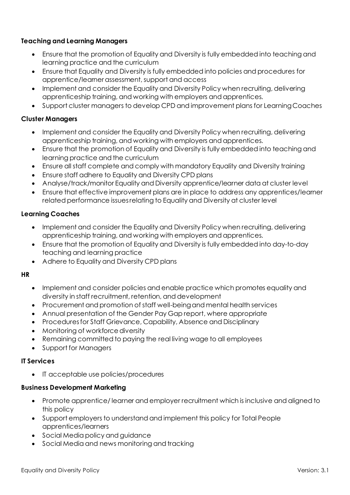#### **Teaching and Learning Managers**

- Ensure that the promotion of Equality and Diversity is fully embedded into teaching and learning practice and the curriculum
- Ensure that Equality and Diversity is fully embedded into policies and procedures for apprentice/learner assessment, support and access
- Implement and consider the Equality and Diversity Policy when recruiting, delivering apprenticeship training, and working with employers and apprentices.
- Support cluster managers to develop CPD and improvement plans for Learning Coaches

#### **Cluster Managers**

- Implement and consider the Equality and Diversity Policy when recruiting, delivering apprenticeship training, and working with employers and apprentices.
- Ensure that the promotion of Equality and Diversity is fully embedded into teaching and learning practice and the curriculum
- Ensure all staff complete and comply with mandatory Equality and Diversity training
- Ensure staff adhere to Equality and Diversity CPD plans
- Analyse/track/monitor Equality and Diversity apprentice/learner data at cluster level
- Ensure that effective improvement plans are in place to address any apprentices/learner related performance issues relating to Equality and Diversity at cluster level

#### **Learning Coaches**

- Implement and consider the Equality and Diversity Policy when recruiting, delivering apprenticeship training, and working with employers and apprentices.
- Ensure that the promotion of Equality and Diversity is fully embedded into day-to-day teaching and learning practice
- Adhere to Equality and Diversity CPD plans

#### **HR**

- Implement and consider policies and enable practice which promotes equality and diversity in staff recruitment, retention, and development
- Procurement and promotion of staff well-being and mental health services
- Annual presentation of the Gender Pay Gap report, where appropriate
- Procedures for Staff Grievance, Capability, Absence and Disciplinary
- Monitoring of workforce diversity
- Remaining committed to paying the real living wage to all employees
- Support for Managers

#### **IT Services**

• IT acceptable use policies/procedures

#### **Business Development Marketing**

- Promote apprentice/ learner and employer recruitment which is inclusive and aligned to this policy
- Support employers to understand and implement this policy for Total People apprentices/learners
- Social Media policy and guidance
- Social Media and news monitoring and tracking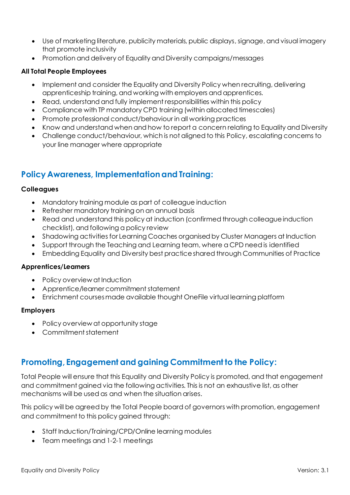- Use of marketing literature, publicity materials, public displays, signage, and visual imagery that promote inclusivity
- Promotion and delivery of Equality and Diversity campaigns/messages

#### **All Total People Employees**

- Implement and consider the Equality and Diversity Policy when recruiting, delivering apprenticeship training, and working with employers and apprentices.
- Read, understand and fully implement responsibilities within this policy
- Compliance with TP mandatory CPD training (within allocated timescales)
- Promote professional conduct/behaviour in all working practices
- Know and understand when and how to report a concern relating to Equality and Diversity
- Challenge conduct/behaviour, which is not aligned to this Policy, escalating concerns to your line manager where appropriate

# **Policy Awareness, Implementationand Training:**

#### **Colleagues**

- Mandatory training module as part of colleague induction
- Refresher mandatory training on an annual basis
- Read and understand this policy at induction (confirmed through colleague induction checklist), and following a policy review
- Shadowing activities for Learning Coaches organised by Cluster Managers at Induction
- Support through the Teaching and Learning team, where a CPD need is identified
- Embedding Equality and Diversity best practice shared through Communities of Practice

#### **Apprentices/Learners**

- Policy overview at Induction
- Apprentice/learner commitment statement
- Enrichment courses made available thought OneFile virtual learning platform

#### **Employers**

- Policy overview at opportunity stage
- Commitment statement

## **Promoting, Engagement and gaining Commitment to the Policy:**

Total People will ensure that this Equality and Diversity Policy is promoted, and that engagement and commitment gained via the following activities. This is not an exhaustive list, as other mechanisms will be used as and when the situation arises.

This policy will be agreed by the Total People board of governors with promotion, engagement and commitment to this policy gained through:

- Staff Induction/Training/CPD/Online learning modules
- Team meetings and 1-2-1 meetings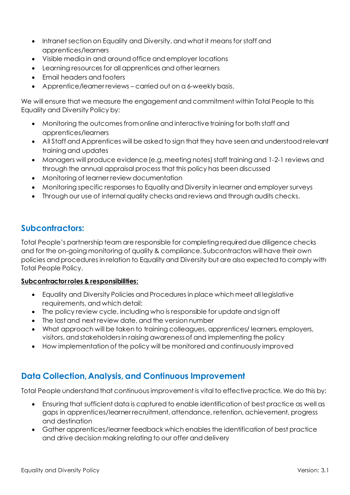- Intranet section on Equality and Diversity, and what it means for staff and apprentices/learners
- Visible media in and around office and employer locations
- Learning resources for all apprentices and other learners
- Email headers and footers
- Apprentice/learner reviews carried out on a 6-weekly basis.

We will ensure that we measure the engagement and commitment within Total People to this Equality and Diversity Policy by:

- Monitoring the outcomes from online and interactive training for both staff and apprentices/learners
- All Staff and Apprentices will be asked to sign that they have seen and understood relevant training and updates
- Managers will produce evidence (e.g. meeting notes) staff training and 1-2-1 reviews and through the annual appraisal process that this policy has been discussed
- Monitoring of learner review documentation
- Monitoring specific responses to Equality and Diversity in learner and employer surveys
- Through our use of internal quality checks and reviews and through audits checks.

# **Subcontractors:**

Total People's partnership team are responsible for completing required due diligence checks and for the on-going monitoring of quality & compliance. Subcontractors will have their own policies and procedures in relation to Equality and Diversity but are also expected to comply with Total People Policy.

#### **Subcontractor roles & responsibilities:**

- Equality and Diversity Policies and Procedures in place which meet all legislative requirements, and which detail:
- The policy review cycle, including who is responsible for update and sign off
- The last and next review date, and the version number
- What approach will be taken to training colleagues, apprentices/ learners, employers, visitors, and stakeholders in raising awareness of and implementing the policy
- How implementation of the policy will be monitored and continuously improved

# **Data Collection, Analysis, and Continuous Improvement**

Total People understand that continuous improvement is vital to effective practice. We do this by:

- Ensuring that sufficient data is captured to enable identification of best practice as well as gaps in apprentices/learner recruitment, attendance, retention, achievement, progress and destination
- Gather apprentices/learner feedback which enables the identification of best practice and drive decision making relating to our offer and delivery